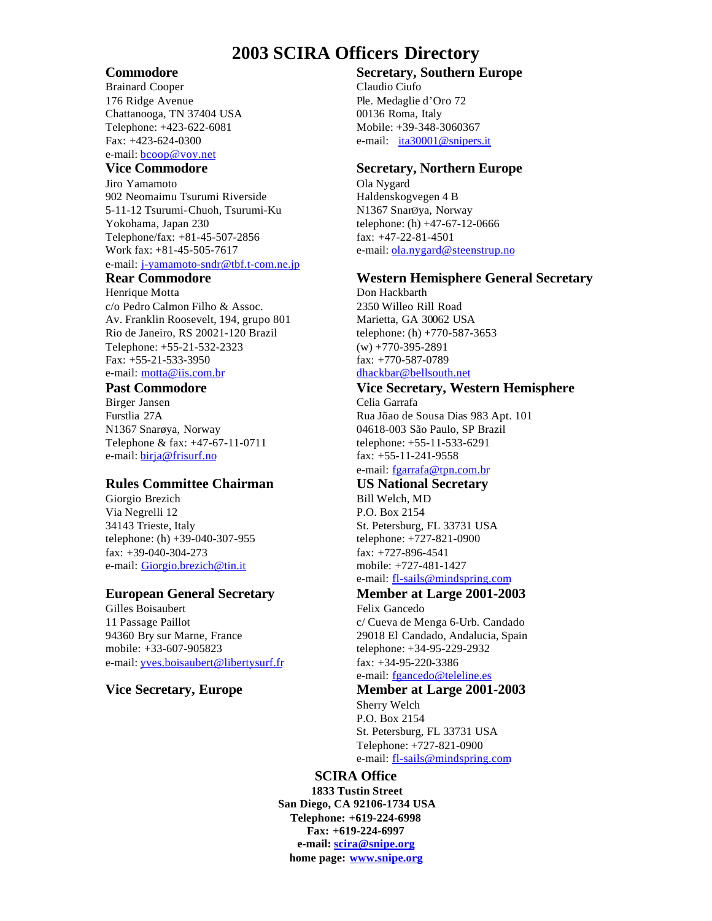## **2003 SCIRA Officers Directory**

Brainard Cooper Claudio Ciufo 176 Ridge Avenue Ple. Medaglie d'Oro 72 Chattanooga, TN 37404 USA 00136 Roma, Italy Telephone: +423-622-6081 Mobile: +39-348-3060367 Fax: +423-624-0300 e-mail: ita30001@snipers.it e-mail: bcoop@voy.net

Jiro Yamamoto Ola Nygard 902 Neomaimu Tsurumi Riverside Haldenskogvegen 4 B 5-11-12 Tsurumi-Chuoh, Tsurumi-Ku N1367 SnarØya, Norway Yokohama, Japan 230 telephone: (h) +47-67-12-0666 Telephone/fax: +81-45-507-2856 fax: +47-22-81-4501 Work fax:  $+81-45-505-7617$  e-mail:  $olanygard@steenstrup.no$ </u> e-mail: j-yamamoto-sndr@tbf.t-com.ne.jp

Henrique Motta Don Hackbarth c/o Pedro Calmon Filho & Assoc. 2350 Willeo Rill Road Av. Franklin Roosevelt, 194, grupo 801 Rio de Janeiro, RS 20021-120 Brazil telephone: (h) +770-587-3653 Telephone: +55-21-532-2323 (w) +770-395-2891 Fax: +55-21-533-3950 fax: +770-587-0789 e-mail: motta@iis.com.br dhackbar@bellsouth.net

Birger Jansen Celia Garrafa N1367 Snarøya, Norway 04618-003 São Paulo, SP Brazil Telephone & fax: +47-67-11-0711 telephone: +55-11-533-6291 e-mail: <u>birja@frisurf.no</u> fax: +55-11-241-9558

### **Rules Committee Chairman US National Secretary**

Giorgio Brezich Bill Welch, MD Via Negrelli 12 P.O. Box 2154 34143 Trieste, Italy St. Petersburg, FL 33731 USA telephone: (h) +39-040-307-955 telephone: +727-821-0900 fax: +39-040-304-273 fax: +727-896-4541 e-mail: Giorgio.brezich@tin.it mobile: +727-481-1427

Gilles Boisaubert Felix Gancedo 11 Passage Paillot c/ Cueva de Menga 6-Urb. Candado 94360 Bry sur Marne, France 29018 El Candado, Andalucia, Spain mobile: +33-607-905823 telephone: +34-95-229-2932 e-mail: yves.boisaubert@libertysurf.fr fax: +34-95-220-3386

## **Commodore Secretary, Southern Europe**

## **Vice Commodore Secretary, Northern Europe**

## **Rear Commodore Western Hemisphere General Secretary**

## **Past Commodore Vice Secretary, Western Hemisphere**

Furstlia 27A Rua Jõao de Sousa Dias 983 Apt. 101 e-mail: fgarrafa@tpn.com.br

e-mail: fl-sails@mindspring.com

# **European General Secretary Member at Large 2001-2003**

e-mail: fgancedo@teleline.es

# **Vice Secretary, Europe Member at Large 2001-2003**

Sherry Welch P.O. Box 2154 St. Petersburg, FL 33731 USA Telephone: +727-821-0900 e-mail: fl-sails@mindspring.com

### **SCIRA Office**

**1833 Tustin Street San Diego, CA 92106-1734 USA Telephone: +619-224-6998 Fax: +619-224-6997 e-mail: scira@snipe.org home page: www.snipe.org**